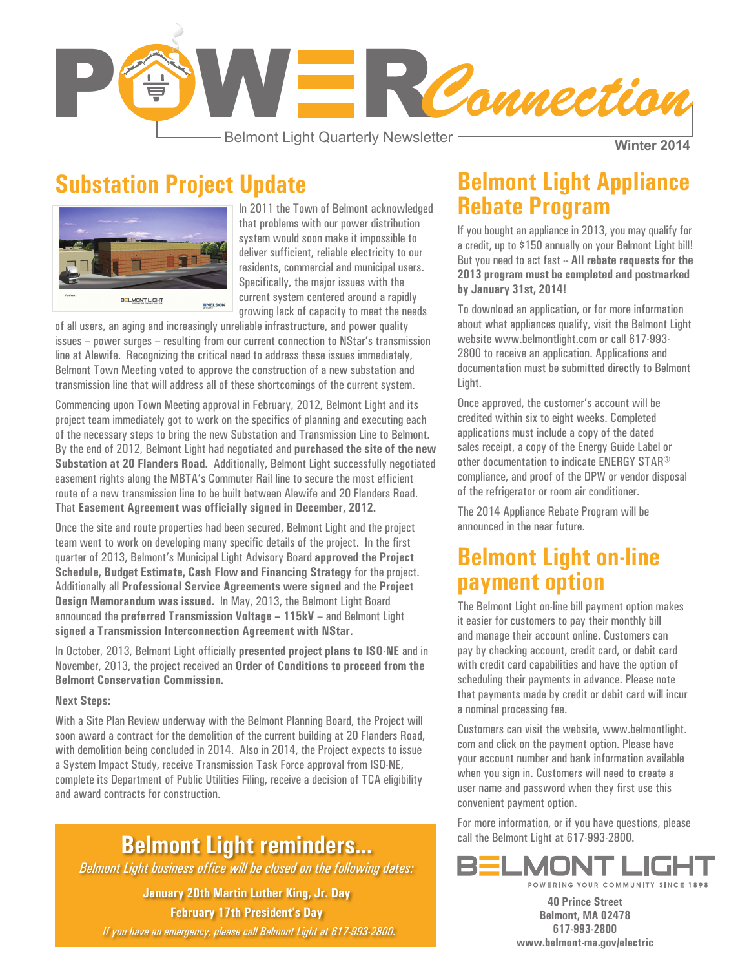

Belmont Light Quarterly Newsletter

**Winter 2014**

## **Substation Project Update**



In 2011 the Town of Belmont acknowledged that problems with our power distribution system would soon make it impossible to deliver sufficient, reliable electricity to our residents, commercial and municipal users. Specifically, the major issues with the current system centered around a rapidly growing lack of capacity to meet the needs

of all users, an aging and increasingly unreliable infrastructure, and power quality issues – power surges – resulting from our current connection to NStar's transmission line at Alewife. Recognizing the critical need to address these issues immediately, Belmont Town Meeting voted to approve the construction of a new substation and transmission line that will address all of these shortcomings of the current system.

Commencing upon Town Meeting approval in February, 2012, Belmont Light and its project team immediately got to work on the specifics of planning and executing each of the necessary steps to bring the new Substation and Transmission Line to Belmont. By the end of 2012, Belmont Light had negotiated and **purchased the site of the new Substation at 20 Flanders Road.** Additionally, Belmont Light successfully negotiated easement rights along the MBTA's Commuter Rail line to secure the most efficient route of a new transmission line to be built between Alewife and 20 Flanders Road. That **Easement Agreement was officially signed in December, 2012.**

Once the site and route properties had been secured, Belmont Light and the project team went to work on developing many specific details of the project. In the first quarter of 2013, Belmont's Municipal Light Advisory Board **approved the Project Schedule, Budget Estimate, Cash Flow and Financing Strategy** for the project. Additionally all **Professional Service Agreements were signed** and the **Project Design Memorandum was issued.** In May, 2013, the Belmont Light Board announced the **preferred Transmission Voltage – 115kV** – and Belmont Light **signed a Transmission Interconnection Agreement with NStar.**

In October, 2013, Belmont Light officially **presented project plans to ISO-NE** and in November, 2013, the project received an **Order of Conditions to proceed from the Belmont Conservation Commission.**

#### **Next Steps:**

With a Site Plan Review underway with the Belmont Planning Board, the Project will soon award a contract for the demolition of the current building at 20 Flanders Road, with demolition being concluded in 2014. Also in 2014, the Project expects to issue a System Impact Study, receive Transmission Task Force approval from ISO-NE, complete its Department of Public Utilities Filing, receive a decision of TCA eligibility and award contracts for construction.

### **Belmont Light reminders…**

*Belmont Light business office will be closed on the following dates:* 

**January 20th Martin Luther King, Jr. Day February 17th President's Day**

*If you have an emergency, please call Belmont Light at 617-993-2800.*

### **Belmont Light Appliance Rebate Program**

If you bought an appliance in 2013, you may qualify for a credit, up to \$150 annually on your Belmont Light bill! But you need to act fast -- **All rebate requests for the 2013 program must be completed and postmarked by January 31st, 2014!**

To download an application, or for more information about what appliances qualify, visit the Belmont Light website www.belmontlight.com or call 617-993- 2800 to receive an application. Applications and documentation must be submitted directly to Belmont Light.

Once approved, the customer's account will be credited within six to eight weeks. Completed applications must include a copy of the dated sales receipt, a copy of the Energy Guide Label or other documentation to indicate ENERGY STAR® compliance, and proof of the DPW or vendor disposal of the refrigerator or room air conditioner.

The 2014 Appliance Rebate Program will be announced in the near future.

#### **Belmont Light on-line payment option**

The Belmont Light on-line bill payment option makes it easier for customers to pay their monthly bill and manage their account online. Customers can pay by checking account, credit card, or debit card with credit card capabilities and have the option of scheduling their payments in advance. Please note that payments made by credit or debit card will incur a nominal processing fee.

Customers can visit the website, www.belmontlight. com and click on the payment option. Please have your account number and bank information available when you sign in. Customers will need to create a user name and password when they first use this convenient payment option.

For more information, or if you have questions, please call the Belmont Light at 617-993-2800.



**40 Prince Street Belmont, MA 02478 617-993-2800 www.belmont-ma.gov/electric**